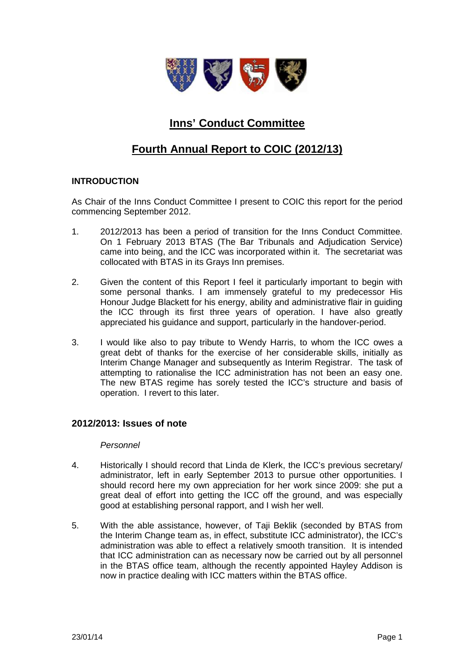

# **Inns' Conduct Committee**

# **Fourth Annual Report to COIC (2012/13)**

## **INTRODUCTION**

As Chair of the Inns Conduct Committee I present to COIC this report for the period commencing September 2012.

- 1. 2012/2013 has been a period of transition for the Inns Conduct Committee. On 1 February 2013 BTAS (The Bar Tribunals and Adjudication Service) came into being, and the ICC was incorporated within it. The secretariat was collocated with BTAS in its Grays Inn premises.
- 2. Given the content of this Report I feel it particularly important to begin with some personal thanks. I am immensely grateful to my predecessor His Honour Judge Blackett for his energy, ability and administrative flair in guiding the ICC through its first three years of operation. I have also greatly appreciated his guidance and support, particularly in the handover-period.
- 3. I would like also to pay tribute to Wendy Harris, to whom the ICC owes a great debt of thanks for the exercise of her considerable skills, initially as Interim Change Manager and subsequently as Interim Registrar. The task of attempting to rationalise the ICC administration has not been an easy one. The new BTAS regime has sorely tested the ICC's structure and basis of operation. I revert to this later.

## **2012/2013: Issues of note**

#### *Personnel*

- 4. Historically I should record that Linda de Klerk, the ICC's previous secretary/ administrator, left in early September 2013 to pursue other opportunities. I should record here my own appreciation for her work since 2009: she put a great deal of effort into getting the ICC off the ground, and was especially good at establishing personal rapport, and I wish her well.
- 5. With the able assistance, however, of Taji Beklik (seconded by BTAS from the Interim Change team as, in effect, substitute ICC administrator), the ICC's administration was able to effect a relatively smooth transition. It is intended that ICC administration can as necessary now be carried out by all personnel in the BTAS office team, although the recently appointed Hayley Addison is now in practice dealing with ICC matters within the BTAS office.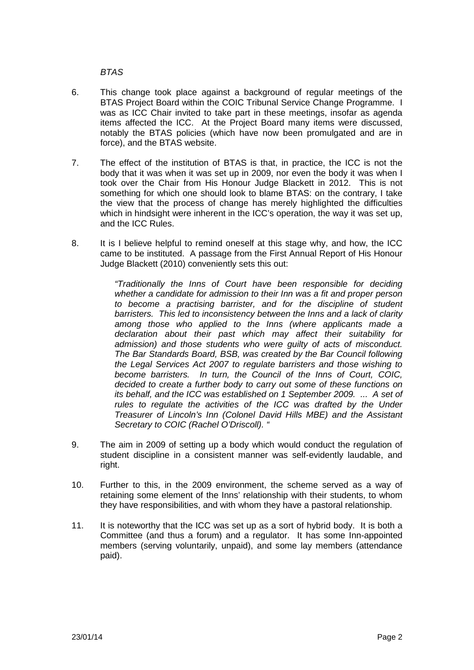*BTAS*

- 6. This change took place against a background of regular meetings of the BTAS Project Board within the COIC Tribunal Service Change Programme. I was as ICC Chair invited to take part in these meetings, insofar as agenda items affected the ICC. At the Project Board many items were discussed, notably the BTAS policies (which have now been promulgated and are in force), and the BTAS website.
- 7. The effect of the institution of BTAS is that, in practice, the ICC is not the body that it was when it was set up in 2009, nor even the body it was when I took over the Chair from His Honour Judge Blackett in 2012. This is not something for which one should look to blame BTAS: on the contrary, I take the view that the process of change has merely highlighted the difficulties which in hindsight were inherent in the ICC's operation, the way it was set up, and the ICC Rules.
- 8. It is I believe helpful to remind oneself at this stage why, and how, the ICC came to be instituted. A passage from the First Annual Report of His Honour Judge Blackett (2010) conveniently sets this out:

*"Traditionally the Inns of Court have been responsible for deciding whether a candidate for admission to their Inn was a fit and proper person to become a practising barrister, and for the discipline of student barristers. This led to inconsistency between the Inns and a lack of clarity among those who applied to the Inns (where applicants made a declaration about their past which may affect their suitability for admission) and those students who were guilty of acts of misconduct. The Bar Standards Board, BSB, was created by the Bar Council following the Legal Services Act 2007 to regulate barristers and those wishing to become barristers. In turn, the Council of the Inns of Court, COIC, decided to create a further body to carry out some of these functions on its behalf, and the ICC was established on 1 September 2009. ... A set of rules to regulate the activities of the ICC was drafted by the Under Treasurer of Lincoln's Inn (Colonel David Hills MBE) and the Assistant Secretary to COIC (Rachel O'Driscoll). "*

- 9. The aim in 2009 of setting up a body which would conduct the regulation of student discipline in a consistent manner was self-evidently laudable, and right.
- 10. Further to this, in the 2009 environment, the scheme served as a way of retaining some element of the Inns' relationship with their students, to whom they have responsibilities, and with whom they have a pastoral relationship.
- 11. It is noteworthy that the ICC was set up as a sort of hybrid body. It is both a Committee (and thus a forum) and a regulator. It has some Inn-appointed members (serving voluntarily, unpaid), and some lay members (attendance paid).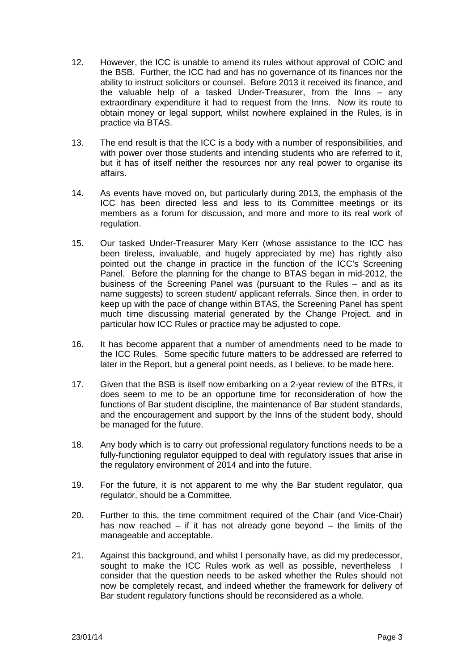- 12. However, the ICC is unable to amend its rules without approval of COIC and the BSB. Further, the ICC had and has no governance of its finances nor the ability to instruct solicitors or counsel. Before 2013 it received its finance, and the valuable help of a tasked Under-Treasurer, from the Inns – any extraordinary expenditure it had to request from the Inns. Now its route to obtain money or legal support, whilst nowhere explained in the Rules, is in practice via BTAS.
- 13. The end result is that the ICC is a body with a number of responsibilities, and with power over those students and intending students who are referred to it, but it has of itself neither the resources nor any real power to organise its affairs.
- 14. As events have moved on, but particularly during 2013, the emphasis of the ICC has been directed less and less to its Committee meetings or its members as a forum for discussion, and more and more to its real work of regulation.
- 15. Our tasked Under-Treasurer Mary Kerr (whose assistance to the ICC has been tireless, invaluable, and hugely appreciated by me) has rightly also pointed out the change in practice in the function of the ICC's Screening Panel. Before the planning for the change to BTAS began in mid-2012, the business of the Screening Panel was (pursuant to the Rules – and as its name suggests) to screen student/ applicant referrals. Since then, in order to keep up with the pace of change within BTAS, the Screening Panel has spent much time discussing material generated by the Change Project, and in particular how ICC Rules or practice may be adjusted to cope.
- 16. It has become apparent that a number of amendments need to be made to the ICC Rules. Some specific future matters to be addressed are referred to later in the Report, but a general point needs, as I believe, to be made here.
- 17. Given that the BSB is itself now embarking on a 2-year review of the BTRs, it does seem to me to be an opportune time for reconsideration of how the functions of Bar student discipline, the maintenance of Bar student standards, and the encouragement and support by the Inns of the student body, should be managed for the future.
- 18. Any body which is to carry out professional regulatory functions needs to be a fully-functioning regulator equipped to deal with regulatory issues that arise in the regulatory environment of 2014 and into the future.
- 19. For the future, it is not apparent to me why the Bar student regulator, qua regulator, should be a Committee.
- 20. Further to this, the time commitment required of the Chair (and Vice-Chair) has now reached – if it has not already gone beyond – the limits of the manageable and acceptable.
- 21. Against this background, and whilst I personally have, as did my predecessor, sought to make the ICC Rules work as well as possible, nevertheless I consider that the question needs to be asked whether the Rules should not now be completely recast, and indeed whether the framework for delivery of Bar student regulatory functions should be reconsidered as a whole.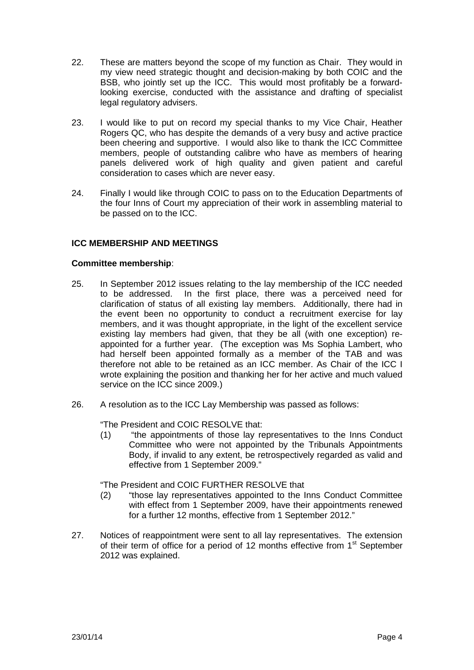- 22. These are matters beyond the scope of my function as Chair. They would in my view need strategic thought and decision-making by both COIC and the BSB, who jointly set up the ICC. This would most profitably be a forwardlooking exercise, conducted with the assistance and drafting of specialist legal regulatory advisers.
- 23. I would like to put on record my special thanks to my Vice Chair, Heather Rogers QC, who has despite the demands of a very busy and active practice been cheering and supportive. I would also like to thank the ICC Committee members, people of outstanding calibre who have as members of hearing panels delivered work of high quality and given patient and careful consideration to cases which are never easy.
- 24. Finally I would like through COIC to pass on to the Education Departments of the four Inns of Court my appreciation of their work in assembling material to be passed on to the ICC.

## **ICC MEMBERSHIP AND MEETINGS**

### **Committee membership**:

- 25. In September 2012 issues relating to the lay membership of the ICC needed to be addressed. In the first place, there was a perceived need for clarification of status of all existing lay members. Additionally, there had in the event been no opportunity to conduct a recruitment exercise for lay members, and it was thought appropriate, in the light of the excellent service existing lay members had given, that they be all (with one exception) reappointed for a further year. (The exception was Ms Sophia Lambert, who had herself been appointed formally as a member of the TAB and was therefore not able to be retained as an ICC member. As Chair of the ICC I wrote explaining the position and thanking her for her active and much valued service on the ICC since 2009.)
- 26. A resolution as to the ICC Lay Membership was passed as follows:

"The President and COIC RESOLVE that:

(1) "the appointments of those lay representatives to the Inns Conduct Committee who were not appointed by the Tribunals Appointments Body, if invalid to any extent, be retrospectively regarded as valid and effective from 1 September 2009."

"The President and COIC FURTHER RESOLVE that

- (2) "those lay representatives appointed to the Inns Conduct Committee with effect from 1 September 2009, have their appointments renewed for a further 12 months, effective from 1 September 2012."
- 27. Notices of reappointment were sent to all lay representatives. The extension of their term of office for a period of 12 months effective from 1<sup>st</sup> September 2012 was explained.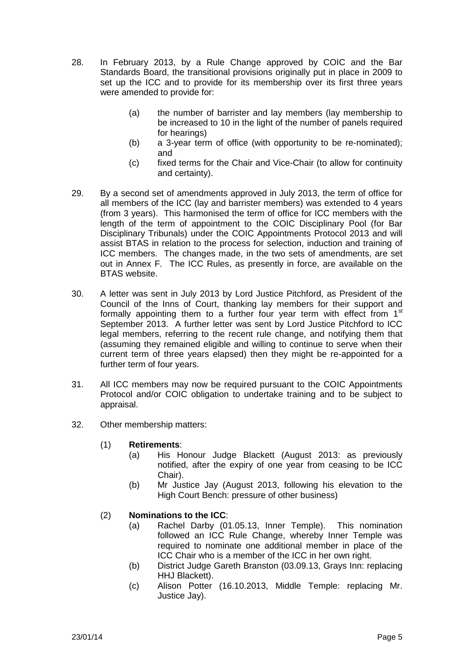- 28. In February 2013, by a Rule Change approved by COIC and the Bar Standards Board, the transitional provisions originally put in place in 2009 to set up the ICC and to provide for its membership over its first three years were amended to provide for:
	- (a) the number of barrister and lay members (lay membership to be increased to 10 in the light of the number of panels required for hearings)
	- (b) a 3-year term of office (with opportunity to be re-nominated); and
	- (c) fixed terms for the Chair and Vice-Chair (to allow for continuity and certainty).
- 29. By a second set of amendments approved in July 2013, the term of office for all members of the ICC (lay and barrister members) was extended to 4 years (from 3 years). This harmonised the term of office for ICC members with the length of the term of appointment to the COIC Disciplinary Pool (for Bar Disciplinary Tribunals) under the COIC Appointments Protocol 2013 and will assist BTAS in relation to the process for selection, induction and training of ICC members. The changes made, in the two sets of amendments, are set out in Annex F*.* The ICC Rules, as presently in force, are available on the BTAS website.
- 30. A letter was sent in July 2013 by Lord Justice Pitchford, as President of the Council of the Inns of Court, thanking lay members for their support and formally appointing them to a further four year term with effect from 1<sup>st</sup> September 2013. A further letter was sent by Lord Justice Pitchford to ICC legal members, referring to the recent rule change, and notifying them that (assuming they remained eligible and willing to continue to serve when their current term of three years elapsed) then they might be re-appointed for a further term of four years.
- 31. All ICC members may now be required pursuant to the COIC Appointments Protocol and/or COIC obligation to undertake training and to be subject to appraisal.
- 32. Other membership matters:
	- (1) **Retirements**:
		- (a) His Honour Judge Blackett (August 2013: as previously notified, after the expiry of one year from ceasing to be ICC Chair).
		- (b) Mr Justice Jay (August 2013, following his elevation to the High Court Bench: pressure of other business)

## (2) **Nominations to the ICC**:

- (a) Rachel Darby (01.05.13, Inner Temple). This nomination followed an ICC Rule Change, whereby Inner Temple was required to nominate one additional member in place of the ICC Chair who is a member of the ICC in her own right.
- (b) District Judge Gareth Branston (03.09.13, Grays Inn: replacing HHJ Blackett).
- (c) Alison Potter (16.10.2013, Middle Temple: replacing Mr. Justice Jay).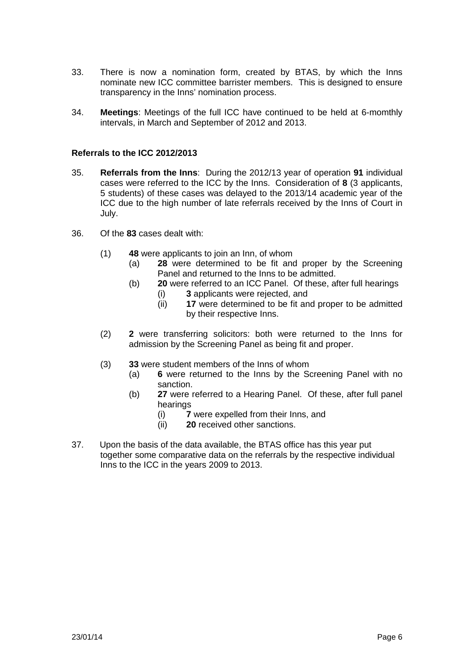- 33. There is now a nomination form, created by BTAS, by which the Inns nominate new ICC committee barrister members. This is designed to ensure transparency in the Inns' nomination process.
- 34. **Meetings**: Meetings of the full ICC have continued to be held at 6-momthly intervals, in March and September of 2012 and 2013.

### **Referrals to the ICC 2012/2013**

- 35. **Referrals from the Inns**: During the 2012/13 year of operation **91** individual cases were referred to the ICC by the Inns. Consideration of **8** (3 applicants, 5 students) of these cases was delayed to the 2013/14 academic year of the ICC due to the high number of late referrals received by the Inns of Court in July.
- 36. Of the **83** cases dealt with:
	- (1) **48** were applicants to join an Inn, of whom
		- (a) **28** were determined to be fit and proper by the Screening Panel and returned to the Inns to be admitted.
		- (b) **20** were referred to an ICC Panel. Of these, after full hearings
			- (i) **3** applicants were rejected, and
			- (ii) **17** were determined to be fit and proper to be admitted by their respective Inns.
	- (2) **2** were transferring solicitors: both were returned to the Inns for admission by the Screening Panel as being fit and proper.
	- (3) **33** were student members of the Inns of whom
		- (a) **6** were returned to the Inns by the Screening Panel with no sanction.
		- (b) **27** were referred to a Hearing Panel. Of these, after full panel hearings
			- (i) **7** were expelled from their Inns, and
			- (ii) **20** received other sanctions.
- 37. Upon the basis of the data available, the BTAS office has this year put together some comparative data on the referrals by the respective individual Inns to the ICC in the years 2009 to 2013.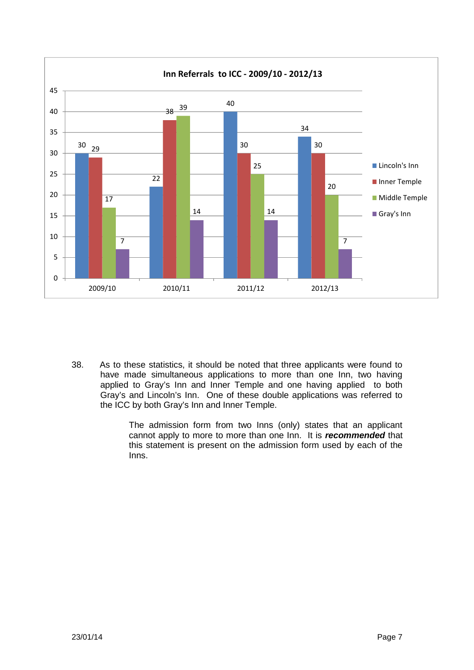

38. As to these statistics, it should be noted that three applicants were found to have made simultaneous applications to more than one Inn, two having applied to Gray's Inn and Inner Temple and one having applied to both Gray's and Lincoln's Inn. One of these double applications was referred to the ICC by both Gray's Inn and Inner Temple.

> The admission form from two Inns (only) states that an applicant cannot apply to more to more than one Inn. It is *recommended* that this statement is present on the admission form used by each of the Inns.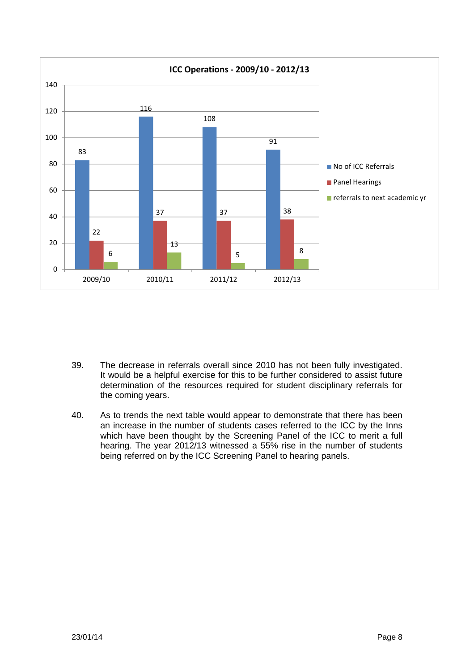

- 39. The decrease in referrals overall since 2010 has not been fully investigated. It would be a helpful exercise for this to be further considered to assist future determination of the resources required for student disciplinary referrals for the coming years.
- 40. As to trends the next table would appear to demonstrate that there has been an increase in the number of students cases referred to the ICC by the Inns which have been thought by the Screening Panel of the ICC to merit a full hearing. The year 2012/13 witnessed a 55% rise in the number of students being referred on by the ICC Screening Panel to hearing panels.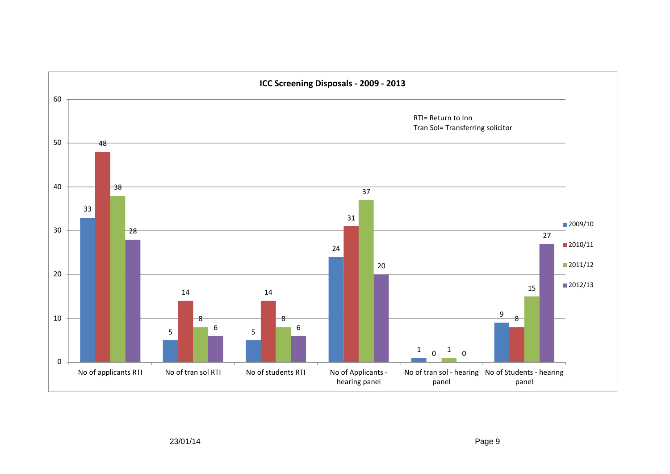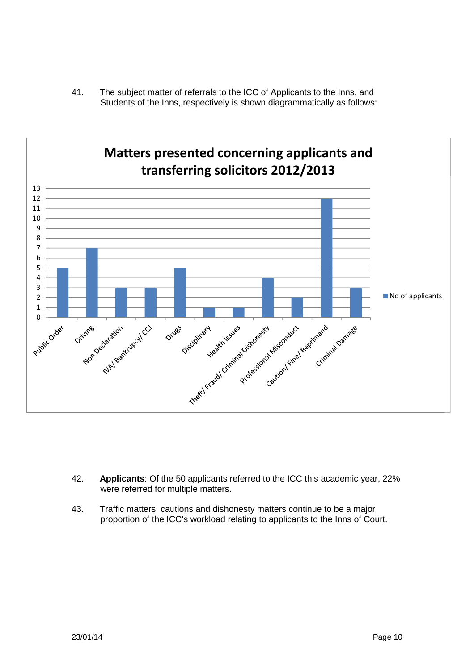41. The subject matter of referrals to the ICC of Applicants to the Inns, and Students of the Inns, respectively is shown diagrammatically as follows:



- 42. **Applicants**: Of the 50 applicants referred to the ICC this academic year, 22% were referred for multiple matters.
- 43. Traffic matters, cautions and dishonesty matters continue to be a major proportion of the ICC's workload relating to applicants to the Inns of Court.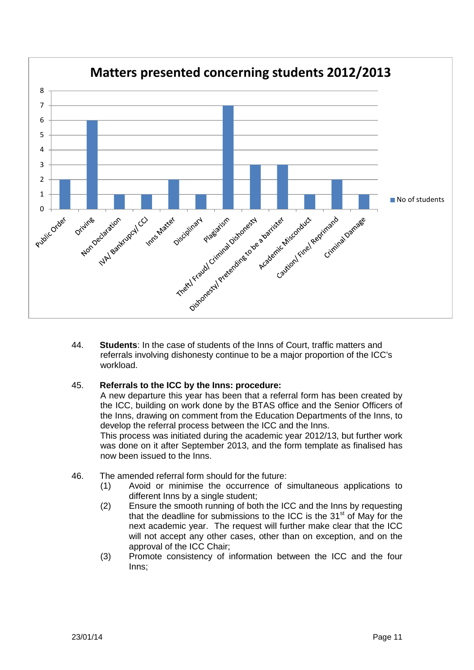

44. **Students**: In the case of students of the Inns of Court, traffic matters and referrals involving dishonesty continue to be a major proportion of the ICC's workload.

## 45. **Referrals to the ICC by the Inns: procedure:**

A new departure this year has been that a referral form has been created by the ICC, building on work done by the BTAS office and the Senior Officers of the Inns, drawing on comment from the Education Departments of the Inns, to develop the referral process between the ICC and the Inns.

This process was initiated during the academic year 2012/13, but further work was done on it after September 2013, and the form template as finalised has now been issued to the Inns.

- 46. The amended referral form should for the future:
	- (1) Avoid or minimise the occurrence of simultaneous applications to different Inns by a single student;
	- (2) Ensure the smooth running of both the ICC and the Inns by requesting that the deadline for submissions to the ICC is the  $31<sup>st</sup>$  of May for the next academic year. The request will further make clear that the ICC will not accept any other cases, other than on exception, and on the approval of the ICC Chair;
	- (3) Promote consistency of information between the ICC and the four Inns;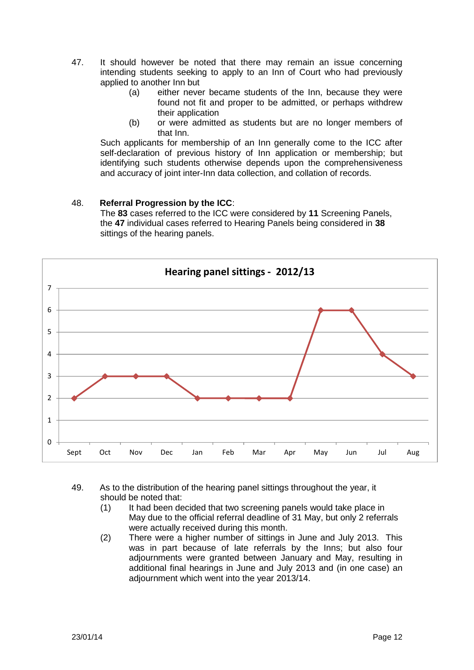- 47. It should however be noted that there may remain an issue concerning intending students seeking to apply to an Inn of Court who had previously applied to another Inn but
	- (a) either never became students of the Inn, because they were found not fit and proper to be admitted, or perhaps withdrew their application
	- (b) or were admitted as students but are no longer members of that Inn.

Such applicants for membership of an Inn generally come to the ICC after self-declaration of previous history of Inn application or membership; but identifying such students otherwise depends upon the comprehensiveness and accuracy of joint inter-Inn data collection, and collation of records.

## 48. **Referral Progression by the ICC**:

The **83** cases referred to the ICC were considered by **11** Screening Panels, the **47** individual cases referred to Hearing Panels being considered in **38** sittings of the hearing panels.



- 49. As to the distribution of the hearing panel sittings throughout the year, it should be noted that:
	- (1) It had been decided that two screening panels would take place in May due to the official referral deadline of 31 May, but only 2 referrals were actually received during this month.
	- (2) There were a higher number of sittings in June and July 2013. This was in part because of late referrals by the Inns; but also four adjournments were granted between January and May, resulting in additional final hearings in June and July 2013 and (in one case) an adjournment which went into the year 2013/14.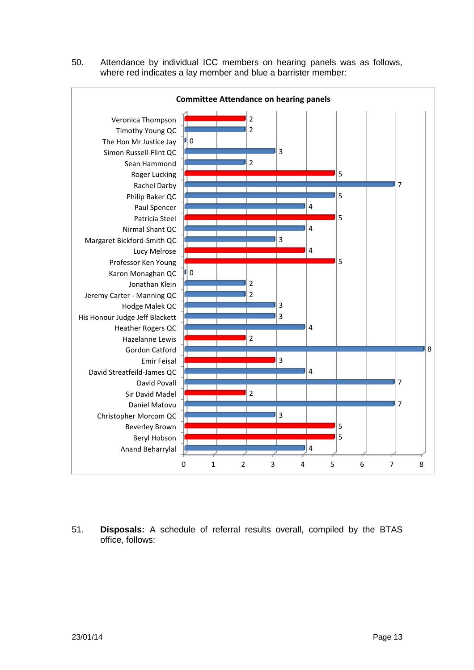50. Attendance by individual ICC members on hearing panels was as follows, where red indicates a lay member and blue a barrister member:



51. **Disposals:** A schedule of referral results overall, compiled by the BTAS office, follows: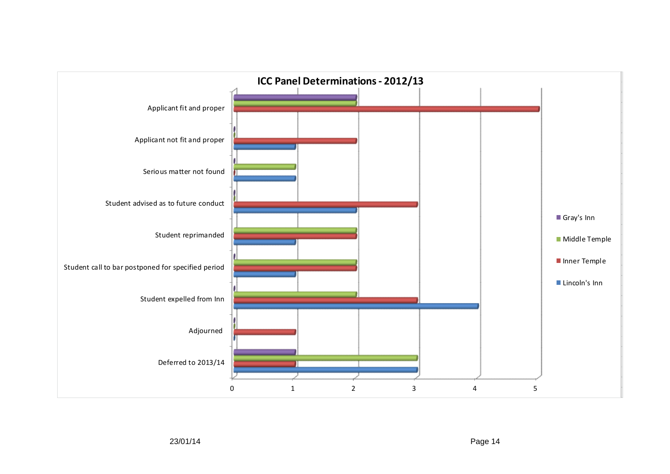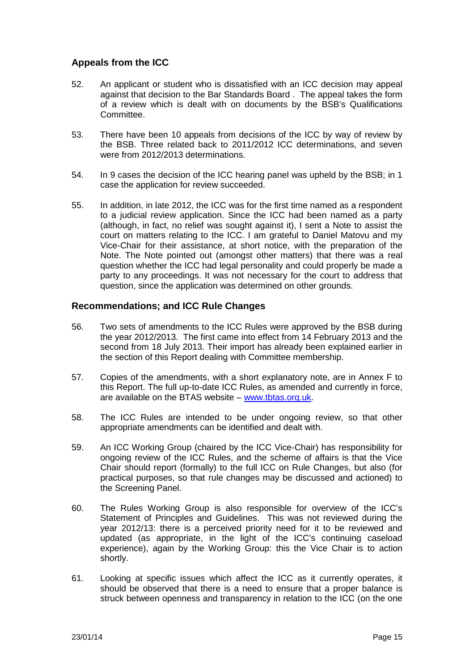# **Appeals from the ICC**

- 52. An applicant or student who is dissatisfied with an ICC decision may appeal against that decision to the Bar Standards Board . The appeal takes the form of a review which is dealt with on documents by the BSB's Qualifications Committee.
- 53. There have been 10 appeals from decisions of the ICC by way of review by the BSB. Three related back to 2011/2012 ICC determinations, and seven were from 2012/2013 determinations.
- 54. In 9 cases the decision of the ICC hearing panel was upheld by the BSB; in 1 case the application for review succeeded.
- 55. In addition, in late 2012, the ICC was for the first time named as a respondent to a judicial review application. Since the ICC had been named as a party (although, in fact, no relief was sought against it), I sent a Note to assist the court on matters relating to the ICC. I am grateful to Daniel Matovu and my Vice-Chair for their assistance, at short notice, with the preparation of the Note. The Note pointed out (amongst other matters) that there was a real question whether the ICC had legal personality and could properly be made a party to any proceedings. It was not necessary for the court to address that question, since the application was determined on other grounds.

## **Recommendations; and ICC Rule Changes**

- 56. Two sets of amendments to the ICC Rules were approved by the BSB during the year 2012/2013. The first came into effect from 14 February 2013 and the second from 18 July 2013. Their import has already been explained earlier in the section of this Report dealing with Committee membership.
- 57. Copies of the amendments, with a short explanatory note, are in Annex F to this Report. The full up-to-date ICC Rules, as amended and currently in force, are available on the BTAS website – www.tbtas.org.uk.
- 58. The ICC Rules are intended to be under ongoing review, so that other appropriate amendments can be identified and dealt with.
- 59. An ICC Working Group (chaired by the ICC Vice-Chair) has responsibility for ongoing review of the ICC Rules, and the scheme of affairs is that the Vice Chair should report (formally) to the full ICC on Rule Changes, but also (for practical purposes, so that rule changes may be discussed and actioned) to the Screening Panel.
- 60. The Rules Working Group is also responsible for overview of the ICC's Statement of Principles and Guidelines. This was not reviewed during the year 2012/13: there is a perceived priority need for it to be reviewed and updated (as appropriate, in the light of the ICC's continuing caseload experience), again by the Working Group: this the Vice Chair is to action shortly.
- 61. Looking at specific issues which affect the ICC as it currently operates, it should be observed that there is a need to ensure that a proper balance is struck between openness and transparency in relation to the ICC (on the one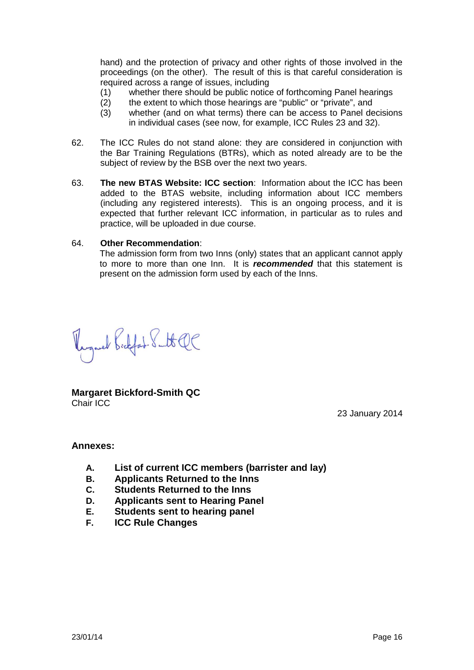hand) and the protection of privacy and other rights of those involved in the proceedings (on the other). The result of this is that careful consideration is required across a range of issues, including

- (1) whether there should be public notice of forthcoming Panel hearings
- (2) the extent to which those hearings are "public" or "private", and
- (3) whether (and on what terms) there can be access to Panel decisions in individual cases (see now, for example, ICC Rules 23 and 32).
- 62. The ICC Rules do not stand alone: they are considered in conjunction with the Bar Training Regulations (BTRs), which as noted already are to be the subject of review by the BSB over the next two years.
- 63. **The new BTAS Website: ICC section**: Information about the ICC has been added to the BTAS website, including information about ICC members (including any registered interests). This is an ongoing process, and it is expected that further relevant ICC information, in particular as to rules and practice, will be uploaded in due course.

#### 64. **Other Recommendation**:

The admission form from two Inns (only) states that an applicant cannot apply to more to more than one Inn. It is *recommended* that this statement is present on the admission form used by each of the Inns.

Regard Bidfat. Subt QC

**Margaret Bickford-Smith QC** Chair ICC

23 January 2014

#### **Annexes:**

- **A. List of current ICC members (barrister and lay)**
- **B. Applicants Returned to the Inns**
- **C. Students Returned to the Inns**
- **D. Applicants sent to Hearing Panel**
- **E. Students sent to hearing panel**
- **F. ICC Rule Changes**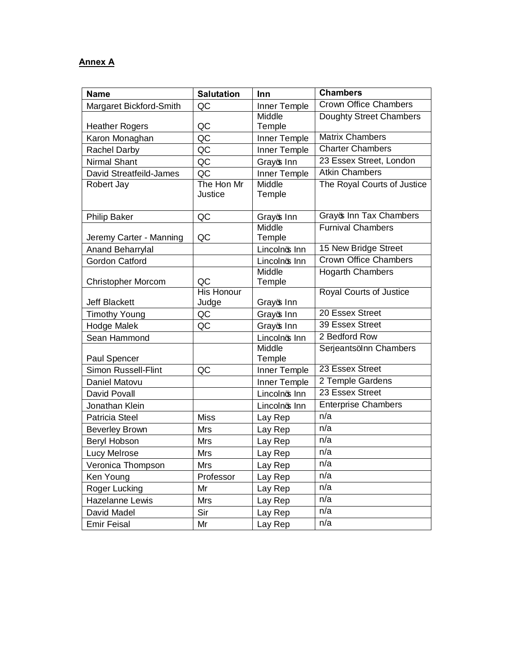# **Annex A**

| <b>Name</b>                | <b>Salutation</b>     | Inn              | <b>Chambers</b>              |
|----------------------------|-----------------------|------------------|------------------------------|
| Margaret Bickford-Smith    | QC                    | Inner Temple     | <b>Crown Office Chambers</b> |
|                            |                       | Middle           | Doughty Street Chambers      |
| <b>Heather Rogers</b>      | QC                    | Temple           |                              |
| Karon Monaghan             | QC                    | Inner Temple     | <b>Matrix Chambers</b>       |
| <b>Rachel Darby</b>        | QC                    | Inner Temple     | <b>Charter Chambers</b>      |
| <b>Nirmal Shant</b>        | QC                    | Grayos Inn       | 23 Essex Street, London      |
| David Streatfeild-James    | QC                    | Inner Temple     | <b>Atkin Chambers</b>        |
| Robert Jay                 | The Hon Mr<br>Justice | Middle<br>Temple | The Royal Courts of Justice  |
| <b>Philip Baker</b>        | QC                    | Grayo Inn        | Grayos Inn Tax Chambers      |
|                            |                       | Middle           | <b>Furnival Chambers</b>     |
| Jeremy Carter - Manning    | QC                    | Temple           |                              |
| Anand Beharrylal           |                       | Lincolnos Inn    | 15 New Bridge Street         |
| <b>Gordon Catford</b>      |                       | Lincolnos Inn    | <b>Crown Office Chambers</b> |
| <b>Christopher Morcom</b>  | QC                    | Middle<br>Temple | <b>Hogarth Chambers</b>      |
|                            | <b>His Honour</b>     |                  | Royal Courts of Justice      |
| <b>Jeff Blackett</b>       | Judge                 | Grayo Inn        |                              |
| <b>Timothy Young</b>       | QC                    | Grayo Inn        | 20 Essex Street              |
| <b>Hodge Malek</b>         | QC                    | Grayos Inn       | 39 Essex Street              |
| Sean Hammond               |                       | Lincolnos Inn    | 2 Bedford Row                |
| Paul Spencer               |                       | Middle<br>Temple | Serjeantsqlnn Chambers       |
| <b>Simon Russell-Flint</b> | QC                    | Inner Temple     | 23 Essex Street              |
| Daniel Matovu              |                       | Inner Temple     | 2 Temple Gardens             |
| David Povall               |                       | Lincolnos Inn    | 23 Essex Street              |
| Jonathan Klein             |                       | Lincolnos Inn    | <b>Enterprise Chambers</b>   |
| <b>Patricia Steel</b>      | Miss                  | Lay Rep          | n/a                          |
| <b>Beverley Brown</b>      | <b>Mrs</b>            | Lay Rep          | n/a                          |
| Beryl Hobson               | <b>Mrs</b>            | Lay Rep          | n/a                          |
| Lucy Melrose               | Mrs                   | Lay Rep          | n/a                          |
| Veronica Thompson          | Mrs                   | Lay Rep          | n/a                          |
| Ken Young                  | Professor             | Lay Rep          | n/a                          |
| Roger Lucking              | Mr                    | Lay Rep          | n/a                          |
| Hazelanne Lewis            | Mrs                   | Lay Rep          | n/a                          |
| David Madel                | Sir                   | Lay Rep          | n/a                          |
| <b>Emir Feisal</b>         | Mr                    | Lay Rep          | n/a                          |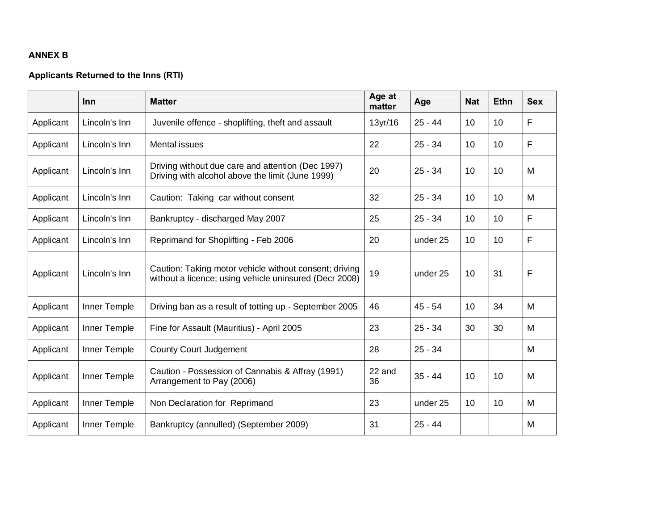## **ANNEX B**

## **Applicants Returned to the Inns (RTI)**

|           | <b>Inn</b>    | <b>Matter</b>                                                                                                    | Age at<br>matter | Age       | <b>Nat</b> | <b>Ethn</b>     | <b>Sex</b> |
|-----------|---------------|------------------------------------------------------------------------------------------------------------------|------------------|-----------|------------|-----------------|------------|
| Applicant | Lincoln's Inn | Juvenile offence - shoplifting, theft and assault                                                                | $13$ yr/16       | $25 - 44$ | 10         | 10              | F          |
| Applicant | Lincoln's Inn | Mental issues                                                                                                    | 22               | $25 - 34$ | 10         | 10 <sup>1</sup> | F          |
| Applicant | Lincoln's Inn | Driving without due care and attention (Dec 1997)<br>Driving with alcohol above the limit (June 1999)            | 20               | $25 - 34$ | 10         | 10 <sup>1</sup> | M          |
| Applicant | Lincoln's Inn | Caution: Taking car without consent                                                                              | 32               | $25 - 34$ | 10         | 10              | M          |
| Applicant | Lincoln's Inn | Bankruptcy - discharged May 2007                                                                                 | 25               | $25 - 34$ | 10         | 10 <sup>1</sup> | F          |
| Applicant | Lincoln's Inn | Reprimand for Shoplifting - Feb 2006                                                                             | 20               | under 25  | 10         | 10 <sup>°</sup> | F          |
| Applicant | Lincoln's Inn | Caution: Taking motor vehicle without consent; driving<br>without a licence; using vehicle uninsured (Decr 2008) | 19               | under 25  | 10         | 31              | F          |
| Applicant | Inner Temple  | Driving ban as a result of totting up - September 2005                                                           | 46               | $45 - 54$ | 10         | 34              | M          |
| Applicant | Inner Temple  | Fine for Assault (Mauritius) - April 2005                                                                        | 23               | $25 - 34$ | 30         | 30              | M          |
| Applicant | Inner Temple  | <b>County Court Judgement</b>                                                                                    | 28               | $25 - 34$ |            |                 | M          |
| Applicant | Inner Temple  | Caution - Possession of Cannabis & Affray (1991)<br>Arrangement to Pay (2006)                                    | 22 and<br>36     | $35 - 44$ | 10         | 10              | M          |
| Applicant | Inner Temple  | Non Declaration for Reprimand                                                                                    | 23               | under 25  | 10         | 10 <sup>°</sup> | M          |
| Applicant | Inner Temple  | Bankruptcy (annulled) (September 2009)                                                                           | 31               | $25 - 44$ |            |                 | M          |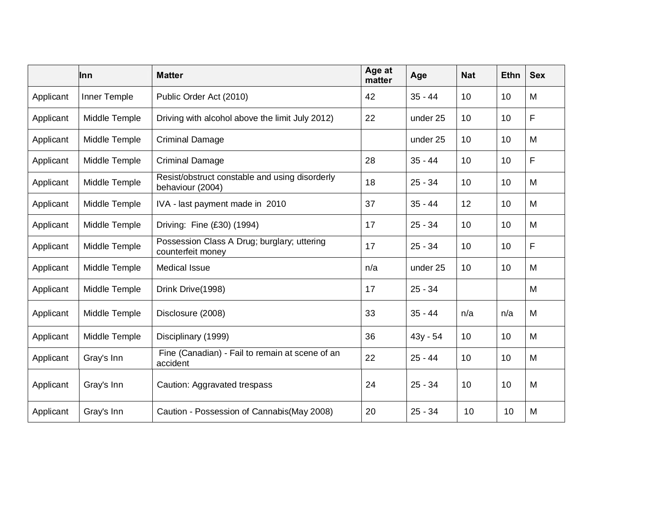|           | Inn           | <b>Matter</b>                                                      | Age at<br>matter | Age       | <b>Nat</b>      | <b>Ethn</b>     | <b>Sex</b>  |
|-----------|---------------|--------------------------------------------------------------------|------------------|-----------|-----------------|-----------------|-------------|
| Applicant | Inner Temple  | Public Order Act (2010)                                            | 42               | $35 - 44$ | 10 <sup>1</sup> | 10              | M           |
| Applicant | Middle Temple | Driving with alcohol above the limit July 2012)                    | 22               | under 25  | 10              | 10              | F           |
| Applicant | Middle Temple | <b>Criminal Damage</b>                                             |                  | under 25  | 10              | 10 <sup>°</sup> | M           |
| Applicant | Middle Temple | <b>Criminal Damage</b>                                             | 28               | $35 - 44$ | 10              | 10              | F           |
| Applicant | Middle Temple | Resist/obstruct constable and using disorderly<br>behaviour (2004) | 18               | $25 - 34$ | 10 <sup>1</sup> | 10 <sup>1</sup> | M           |
| Applicant | Middle Temple | IVA - last payment made in 2010                                    | 37               | $35 - 44$ | 12              | 10              | M           |
| Applicant | Middle Temple | Driving: Fine (£30) (1994)                                         | 17               | $25 - 34$ | 10              | 10 <sup>1</sup> | M           |
| Applicant | Middle Temple | Possession Class A Drug; burglary; uttering<br>counterfeit money   | 17               | $25 - 34$ | 10              | 10              | $\mathsf F$ |
| Applicant | Middle Temple | <b>Medical Issue</b>                                               | n/a              | under 25  | 10              | 10 <sup>°</sup> | M           |
| Applicant | Middle Temple | Drink Drive(1998)                                                  | 17               | $25 - 34$ |                 |                 | M           |
| Applicant | Middle Temple | Disclosure (2008)                                                  | 33               | $35 - 44$ | n/a             | n/a             | M           |
| Applicant | Middle Temple | Disciplinary (1999)                                                | 36               | 43y - 54  | 10              | 10 <sup>°</sup> | M           |
| Applicant | Gray's Inn    | Fine (Canadian) - Fail to remain at scene of an<br>accident        | 22               | $25 - 44$ | 10              | 10 <sup>1</sup> | M           |
| Applicant | Gray's Inn    | Caution: Aggravated trespass                                       | 24               | $25 - 34$ | 10 <sup>1</sup> | 10 <sup>1</sup> | M           |
| Applicant | Gray's Inn    | Caution - Possession of Cannabis (May 2008)                        | 20               | $25 - 34$ | 10              | 10              | M           |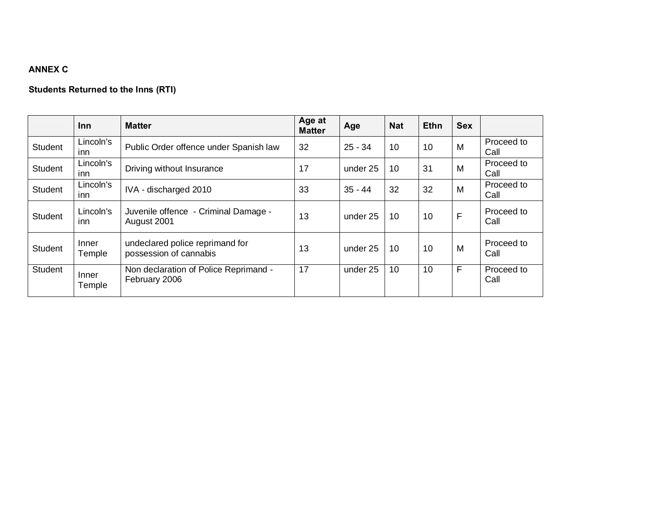# **ANNEX C**

# **Students Returned to the Inns (RTI)**

|                | <b>Inn</b>        | <b>Matter</b>                                             | Age at<br><b>Matter</b> | Age       | <b>Nat</b> | <b>Ethn</b> | <b>Sex</b> |                    |
|----------------|-------------------|-----------------------------------------------------------|-------------------------|-----------|------------|-------------|------------|--------------------|
| <b>Student</b> | Lincoln's<br>inn  | Public Order offence under Spanish law                    | 32                      | $25 - 34$ | 10         | 10          | M          | Proceed to<br>Call |
| <b>Student</b> | Lincoln's<br>inn  | Driving without Insurance                                 | 17                      | under 25  | 10         | 31          | M          | Proceed to<br>Call |
| <b>Student</b> | Lincoln's<br>inn  | IVA - discharged 2010                                     | 33                      | $35 - 44$ | 32         | 32          | M          | Proceed to<br>Call |
| <b>Student</b> | Lincoln's<br>inn. | Juvenile offence - Criminal Damage -<br>August 2001       | 13                      | under 25  | 10         | 10          | F          | Proceed to<br>Call |
| <b>Student</b> | Inner<br>Temple   | undeclared police reprimand for<br>possession of cannabis | 13                      | under 25  | 10         | 10          | M          | Proceed to<br>Call |
| Student        | Inner<br>Temple   | Non declaration of Police Reprimand -<br>February 2006    | 17                      | under 25  | 10         | 10          | F          | Proceed to<br>Call |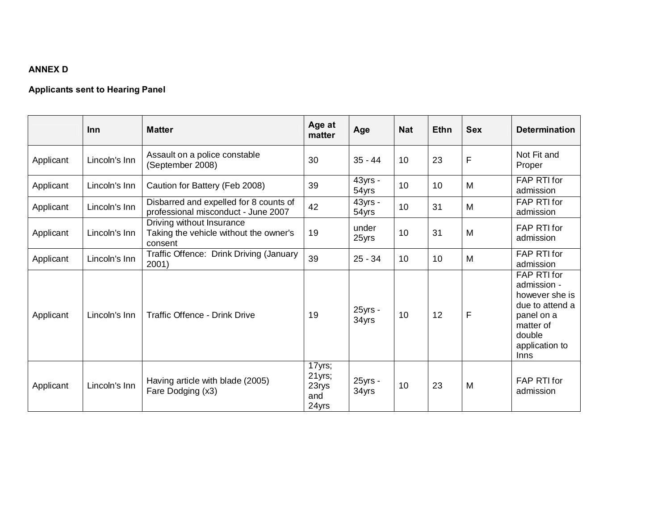# **ANNEX D**

# **Applicants sent to Hearing Panel**

|           | <b>Inn</b>    | <b>Matter</b>                                                                  | Age at<br>matter                          | Age              | <b>Nat</b> | <b>Ethn</b> | <b>Sex</b>  | <b>Determination</b>                                                                                                           |
|-----------|---------------|--------------------------------------------------------------------------------|-------------------------------------------|------------------|------------|-------------|-------------|--------------------------------------------------------------------------------------------------------------------------------|
| Applicant | Lincoln's Inn | Assault on a police constable<br>(September 2008)                              | 30                                        | $35 - 44$        | 10         | 23          | F           | Not Fit and<br>Proper                                                                                                          |
| Applicant | Lincoln's Inn | Caution for Battery (Feb 2008)                                                 | 39                                        | 43yrs -<br>54yrs | 10         | 10          | M           | FAP RTI for<br>admission                                                                                                       |
| Applicant | Lincoln's Inn | Disbarred and expelled for 8 counts of<br>professional misconduct - June 2007  | 42                                        | 43yrs -<br>54yrs | 10         | 31          | M           | <b>FAP RTI for</b><br>admission                                                                                                |
| Applicant | Lincoln's Inn | Driving without Insurance<br>Taking the vehicle without the owner's<br>consent | 19                                        | under<br>25yrs   | 10         | 31          | M           | <b>FAP RTI for</b><br>admission                                                                                                |
| Applicant | Lincoln's Inn | Traffic Offence: Drink Driving (January<br>2001)                               | 39                                        | $25 - 34$        | 10         | 10          | M           | FAP RTI for<br>admission                                                                                                       |
| Applicant | Lincoln's Inn | <b>Traffic Offence - Drink Drive</b>                                           | 19                                        | 25yrs -<br>34yrs | 10         | 12          | $\mathsf F$ | FAP RTI for<br>admission -<br>however she is<br>due to attend a<br>panel on a<br>matter of<br>double<br>application to<br>Inns |
| Applicant | Lincoln's Inn | Having article with blade (2005)<br>Fare Dodging (x3)                          | 17yrs;<br>21yrs;<br>23rys<br>and<br>24yrs | 25yrs -<br>34yrs | 10         | 23          | M           | FAP RTI for<br>admission                                                                                                       |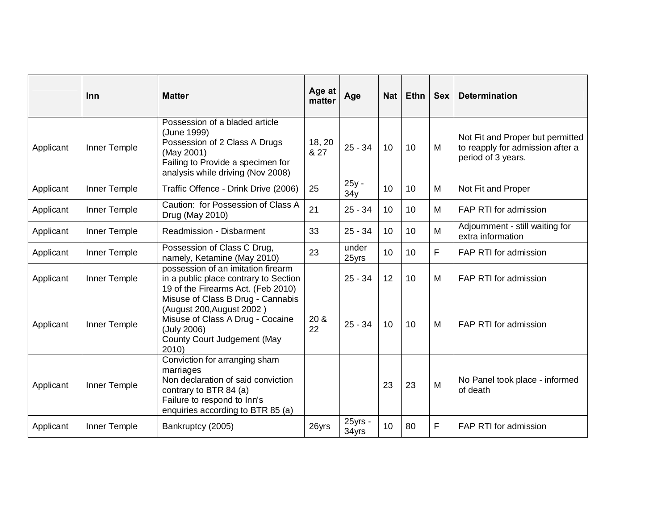|           | Inn          | <b>Matter</b>                                                                                                                                                                  | Age at<br>matter | Age              | <b>Nat</b> | <b>Ethn</b> | <b>Sex</b> | <b>Determination</b>                                                                       |
|-----------|--------------|--------------------------------------------------------------------------------------------------------------------------------------------------------------------------------|------------------|------------------|------------|-------------|------------|--------------------------------------------------------------------------------------------|
| Applicant | Inner Temple | Possession of a bladed article<br>(June 1999)<br>Possession of 2 Class A Drugs<br>(May 2001)<br>Failing to Provide a specimen for<br>analysis while driving (Nov 2008)         | 18, 20<br>& 27   | $25 - 34$        | 10         | 10          | M          | Not Fit and Proper but permitted<br>to reapply for admission after a<br>period of 3 years. |
| Applicant | Inner Temple | Traffic Offence - Drink Drive (2006)                                                                                                                                           | 25               | 25y -<br>34y     | 10         | 10          | M          | Not Fit and Proper                                                                         |
| Applicant | Inner Temple | Caution: for Possession of Class A<br>Drug (May 2010)                                                                                                                          | 21               | $25 - 34$        | 10         | 10          | м          | FAP RTI for admission                                                                      |
| Applicant | Inner Temple | <b>Readmission - Disbarment</b>                                                                                                                                                | 33               | $25 - 34$        | 10         | 10          | M          | Adjournment - still waiting for<br>extra information                                       |
| Applicant | Inner Temple | Possession of Class C Drug,<br>namely, Ketamine (May 2010)                                                                                                                     | 23               | under<br>25yrs   | 10         | 10          | F          | FAP RTI for admission                                                                      |
| Applicant | Inner Temple | possession of an imitation firearm<br>in a public place contrary to Section<br>19 of the Firearms Act. (Feb 2010)                                                              |                  | $25 - 34$        | 12         | 10          | M          | FAP RTI for admission                                                                      |
| Applicant | Inner Temple | Misuse of Class B Drug - Cannabis<br>(August 200, August 2002)<br>Misuse of Class A Drug - Cocaine<br>(July 2006)<br>County Court Judgement (May<br>2010                       | 20 &<br>22       | $25 - 34$        | 10         | 10          | M          | FAP RTI for admission                                                                      |
| Applicant | Inner Temple | Conviction for arranging sham<br>marriages<br>Non declaration of said conviction<br>contrary to BTR 84 (a)<br>Failure to respond to Inn's<br>enquiries according to BTR 85 (a) |                  |                  | 23         | 23          | M          | No Panel took place - informed<br>of death                                                 |
| Applicant | Inner Temple | Bankruptcy (2005)                                                                                                                                                              | 26yrs            | 25yrs -<br>34yrs | 10         | 80          | F          | FAP RTI for admission                                                                      |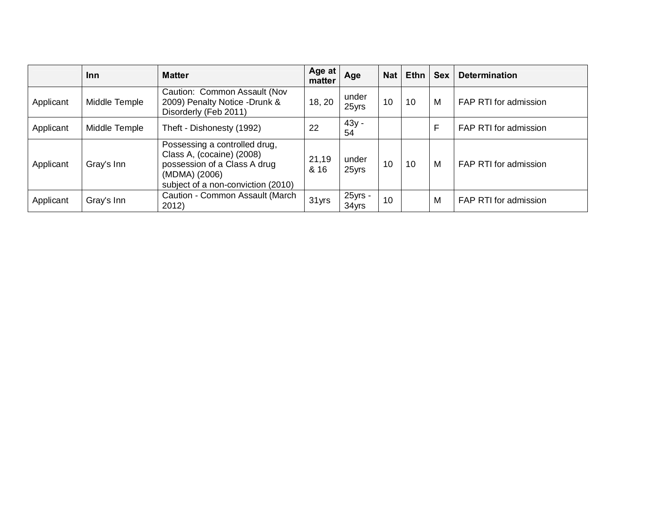|           | <b>Inn</b>    | <b>Matter</b>                                                                                                                                     | Age at<br>matter | Age              | <b>Nat</b> | $E$ thn | <b>Sex</b> | <b>Determination</b>  |
|-----------|---------------|---------------------------------------------------------------------------------------------------------------------------------------------------|------------------|------------------|------------|---------|------------|-----------------------|
| Applicant | Middle Temple | Caution: Common Assault (Nov<br>2009) Penalty Notice -Drunk &<br>Disorderly (Feb 2011)                                                            | 18, 20           | under<br>25yrs   | 10         | 10      | M          | FAP RTI for admission |
| Applicant | Middle Temple | Theft - Dishonesty (1992)                                                                                                                         | 22               | $43y -$<br>54    |            |         | F          | FAP RTI for admission |
| Applicant | Gray's Inn    | Possessing a controlled drug,<br>Class A, (cocaine) (2008)<br>possession of a Class A drug<br>(MDMA) (2006)<br>subject of a non-conviction (2010) | 21,19<br>& 16    | under<br>25yrs   | 10         | 10      | M          | FAP RTI for admission |
| Applicant | Gray's Inn    | Caution - Common Assault (March<br>2012)                                                                                                          | 31 yrs           | 25yrs -<br>34yrs | 10         |         | M          | FAP RTI for admission |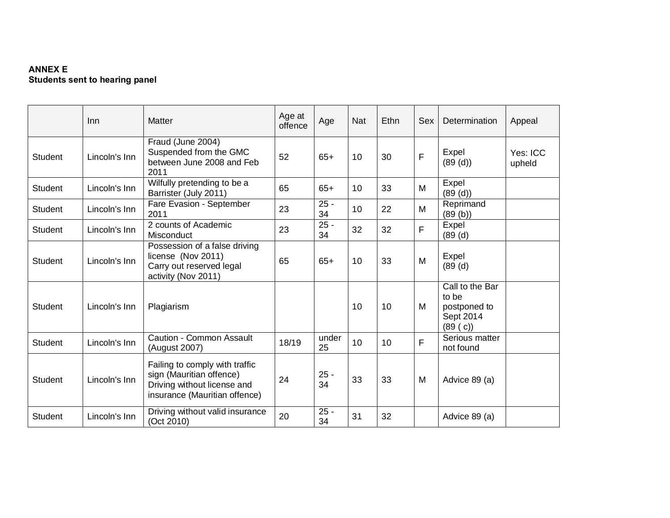## **ANNEX E Students sent to hearing panel**

|                | Inn           | <b>Matter</b>                                                                                                              | Age at<br>offence | Age          | <b>Nat</b> | Ethn | Sex | Determination                                                     | Appeal             |
|----------------|---------------|----------------------------------------------------------------------------------------------------------------------------|-------------------|--------------|------------|------|-----|-------------------------------------------------------------------|--------------------|
| <b>Student</b> | Lincoln's Inn | Fraud (June 2004)<br>Suspended from the GMC<br>between June 2008 and Feb<br>2011                                           | 52                | $65+$        | 10         | 30   | F   | Expel<br>(89 (d))                                                 | Yes: ICC<br>upheld |
| <b>Student</b> | Lincoln's Inn | Wilfully pretending to be a<br>Barrister (July 2011)                                                                       | 65                | $65+$        | 10         | 33   | M   | Expel<br>(89 (d))                                                 |                    |
| <b>Student</b> | Lincoln's Inn | Fare Evasion - September<br>2011                                                                                           | 23                | $25 -$<br>34 | 10         | 22   | M   | Reprimand<br>(89(b))                                              |                    |
| <b>Student</b> | Lincoln's Inn | 2 counts of Academic<br>Misconduct                                                                                         | 23                | $25 -$<br>34 | 32         | 32   | F   | Expel<br>(89 (d)                                                  |                    |
| <b>Student</b> | Lincoln's Inn | Possession of a false driving<br>license (Nov 2011)<br>Carry out reserved legal<br>activity (Nov 2011)                     | 65                | $65+$        | 10         | 33   | M   | Expel<br>(89 (d)                                                  |                    |
| <b>Student</b> | Lincoln's Inn | Plagiarism                                                                                                                 |                   |              | 10         | 10   | M   | Call to the Bar<br>to be<br>postponed to<br>Sept 2014<br>(89 (c)) |                    |
| <b>Student</b> | Lincoln's Inn | Caution - Common Assault<br>(August 2007)                                                                                  | 18/19             | under<br>25  | 10         | 10   | F   | Serious matter<br>not found                                       |                    |
| <b>Student</b> | Lincoln's Inn | Failing to comply with traffic<br>sign (Mauritian offence)<br>Driving without license and<br>insurance (Mauritian offence) | 24                | $25 -$<br>34 | 33         | 33   | M   | Advice 89 (a)                                                     |                    |
| <b>Student</b> | Lincoln's Inn | Driving without valid insurance<br>(Oct 2010)                                                                              | 20                | $25 -$<br>34 | 31         | 32   |     | Advice 89 (a)                                                     |                    |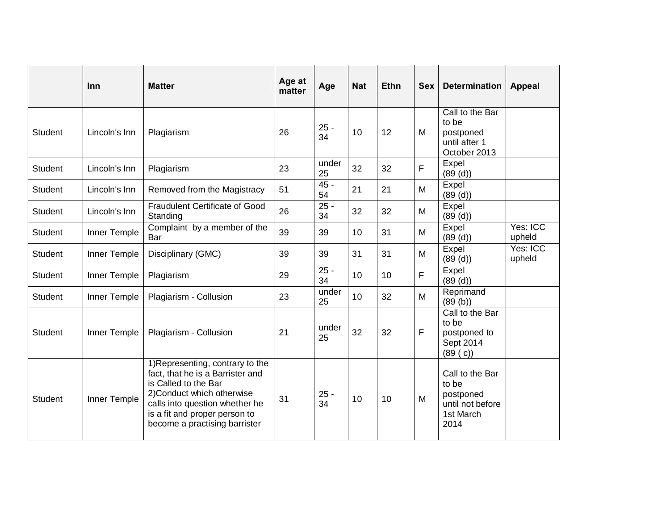|                | <b>Inn</b>    | <b>Matter</b>                                                                                                                                                                                                                  | Age at<br>matter | Age          | <b>Nat</b> | Ethn | <b>Sex</b> | <b>Determination</b>                                                           | <b>Appeal</b>      |
|----------------|---------------|--------------------------------------------------------------------------------------------------------------------------------------------------------------------------------------------------------------------------------|------------------|--------------|------------|------|------------|--------------------------------------------------------------------------------|--------------------|
| Student        | Lincoln's Inn | Plagiarism                                                                                                                                                                                                                     | 26               | $25 -$<br>34 | 10         | 12   | м          | Call to the Bar<br>to be<br>postponed<br>until after 1<br>October 2013         |                    |
| <b>Student</b> | Lincoln's Inn | Plagiarism                                                                                                                                                                                                                     | 23               | under<br>25  | 32         | 32   | F          | Expel<br>(89 (d))                                                              |                    |
| <b>Student</b> | Lincoln's Inn | Removed from the Magistracy                                                                                                                                                                                                    | 51               | $45 -$<br>54 | 21         | 21   | M          | Expel<br>(89 (d))                                                              |                    |
| <b>Student</b> | Lincoln's Inn | <b>Fraudulent Certificate of Good</b><br>Standing                                                                                                                                                                              | 26               | $25 -$<br>34 | 32         | 32   | M          | Expel<br>(89 (d))                                                              |                    |
| <b>Student</b> | Inner Temple  | Complaint by a member of the<br>Bar                                                                                                                                                                                            | 39               | 39           | 10         | 31   | M          | Expel<br>(89 (d))                                                              | Yes: ICC<br>upheld |
| <b>Student</b> | Inner Temple  | Disciplinary (GMC)                                                                                                                                                                                                             | 39               | 39           | 31         | 31   | M          | Expel<br>(89 (d))                                                              | Yes: ICC<br>upheld |
| <b>Student</b> | Inner Temple  | Plagiarism                                                                                                                                                                                                                     | 29               | $25 -$<br>34 | 10         | 10   | F          | Expel<br>(89 (d))                                                              |                    |
| <b>Student</b> | Inner Temple  | Plagiarism - Collusion                                                                                                                                                                                                         | 23               | under<br>25  | 10         | 32   | M          | Reprimand<br>(89(b))                                                           |                    |
| <b>Student</b> | Inner Temple  | Plagiarism - Collusion                                                                                                                                                                                                         | 21               | under<br>25  | 32         | 32   | F          | Call to the Bar<br>to be<br>postponed to<br>Sept 2014<br>(89 (c))              |                    |
| <b>Student</b> | Inner Temple  | 1) Representing, contrary to the<br>fact, that he is a Barrister and<br>is Called to the Bar<br>2) Conduct which otherwise<br>calls into question whether he<br>is a fit and proper person to<br>become a practising barrister | 31               | $25 -$<br>34 | 10         | 10   | M          | Call to the Bar<br>to be<br>postponed<br>until not before<br>1st March<br>2014 |                    |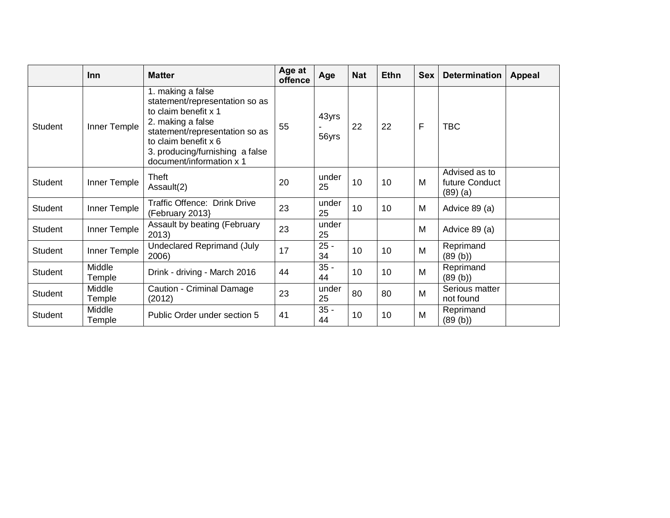|                | Inn              | <b>Matter</b>                                                                                                                                                                                                             | Age at<br>offence | Age            | <b>Nat</b> | <b>Ethn</b> | <b>Sex</b> | <b>Determination</b>                          | <b>Appeal</b> |
|----------------|------------------|---------------------------------------------------------------------------------------------------------------------------------------------------------------------------------------------------------------------------|-------------------|----------------|------------|-------------|------------|-----------------------------------------------|---------------|
| <b>Student</b> | Inner Temple     | 1. making a false<br>statement/representation so as<br>to claim benefit x 1<br>2. making a false<br>statement/representation so as<br>to claim benefit x 6<br>3. producing/furnishing a false<br>document/information x 1 | 55                | 43yrs<br>56yrs | 22         | 22          | F          | TBC                                           |               |
| <b>Student</b> | Inner Temple     | Theft<br>Assault(2)                                                                                                                                                                                                       | 20                | under<br>25    | 10         | 10          | M          | Advised as to<br>future Conduct<br>$(89)$ (a) |               |
| <b>Student</b> | Inner Temple     | Traffic Offence: Drink Drive<br>(February 2013)                                                                                                                                                                           | 23                | under<br>25    | 10         | 10          | M          | Advice 89 (a)                                 |               |
| <b>Student</b> | Inner Temple     | Assault by beating (February<br>2013)                                                                                                                                                                                     | 23                | under<br>25    |            |             | M          | Advice 89 (a)                                 |               |
| <b>Student</b> | Inner Temple     | <b>Undeclared Reprimand (July</b><br>2006)                                                                                                                                                                                | 17                | $25 -$<br>34   | 10         | 10          | M          | Reprimand<br>(89(b))                          |               |
| <b>Student</b> | Middle<br>Temple | Drink - driving - March 2016                                                                                                                                                                                              | 44                | $35 -$<br>44   | 10         | 10          | M          | Reprimand<br>(89 (b))                         |               |
| <b>Student</b> | Middle<br>Temple | Caution - Criminal Damage<br>(2012)                                                                                                                                                                                       | 23                | under<br>25    | 80         | 80          | M          | Serious matter<br>not found                   |               |
| <b>Student</b> | Middle<br>Temple | Public Order under section 5                                                                                                                                                                                              | 41                | $35 -$<br>44   | 10         | 10          | M          | Reprimand<br>(89(b))                          |               |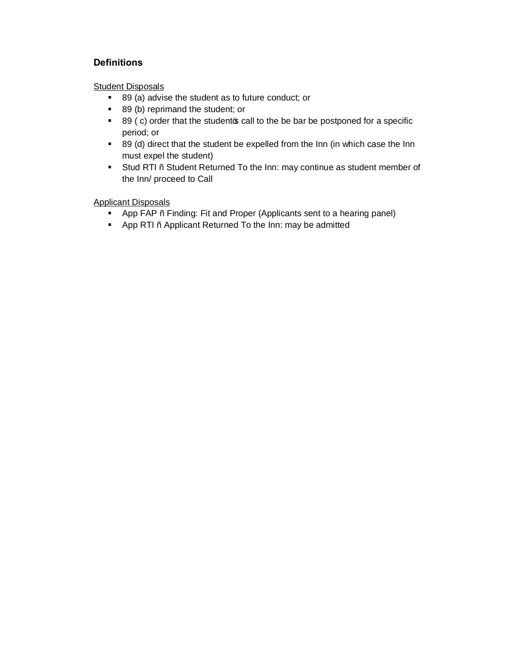## **Definitions**

Student Disposals

- 89 (a) advise the student as to future conduct; or
- 89 (b) reprimand the student; or
- 89 (c) order that the student  $\phi$  call to the be bar be postponed for a specific period; or
- **89 (d)** direct that the student be expelled from the Inn (in which case the Inn must expel the student)
- **Stud RTI** . Student Returned To the Inn: may continue as student member of the Inn/ proceed to Call

Applicant Disposals

- **•** App FAP . Finding: Fit and Proper (Applicants sent to a hearing panel)
- **App RTI**. Applicant Returned To the Inn: may be admitted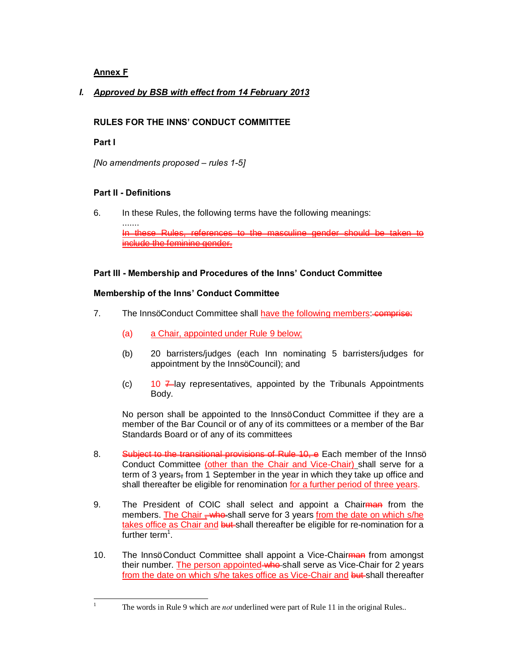## **Annex F**

## *I. Approved by BSB with effect from 14 February 2013*

### **RULES FOR THE INNS' CONDUCT COMMITTEE**

### **Part I**

*[No amendments proposed – rules 1-5]*

### **Part II - Definitions**

6. In these Rules, the following terms have the following meanings:

....... In these Rules, references to the masculine gender should be taken to include the feminine gender.

#### **Part III - Membership and Procedures of the Inns' Conduct Committee**

### **Membership of the Inns' Conduct Committee**

- 7. The Innsq Conduct Committee shall have the following members: comprise:
	- (a) a Chair, appointed under Rule 9 below;
	- (b) 20 barristers/judges (each Inn nominating 5 barristers/judges for appointment by the InnsqCouncil); and
	- (c)  $10 \neq$  lay representatives, appointed by the Tribunals Appointments Body.

No person shall be appointed to the InnsqConduct Committee if they are a member of the Bar Council or of any of its committees or a member of the Bar Standards Board or of any of its committees

- 8. Subject to the transitional provisions of Rule 10, e Each member of the Innsq Conduct Committee (other than the Chair and Vice-Chair) shall serve for a term of 3 years, from 1 September in the year in which they take up office and shall thereafter be eligible for renomination for a further period of three years.
- 9. The President of COIC shall select and appoint a Chairman from the members. The Chair  $\frac{1}{2}$  who shall serve for 3 years from the date on which s/he takes office as Chair and but shall thereafter be eligible for re-nomination for a further term<sup>1</sup>.
- 10. The Innsg Conduct Committee shall appoint a Vice-Chairman from amongst their number. The person appointed who shall serve as Vice-Chair for 2 years from the date on which s/he takes office as Vice-Chair and but shall thereafter

<sup>&</sup>lt;sup>1</sup> The words in Rule 9 which are *not* underlined were part of Rule 11 in the original Rules..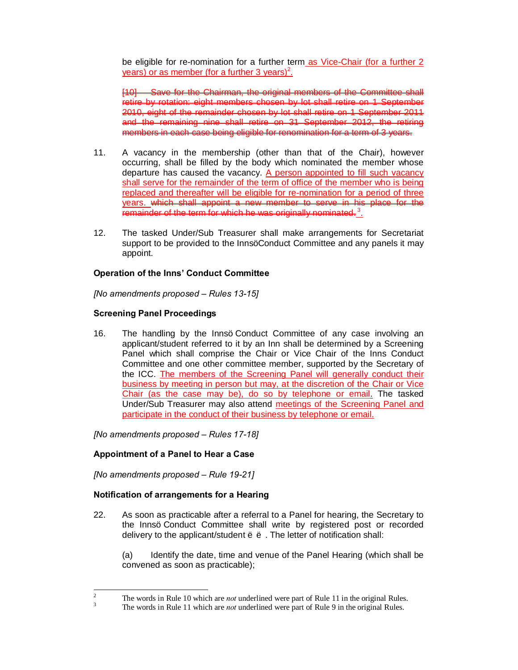be eligible for re-nomination for a further term as Vice-Chair (for a further 2 years) or as member (for a further 3 years)<sup>2</sup>.

[10] Save for the Chairman, the original members of the Committee shall retire by rotation: eight members chosen by lot shall retire on 1 September 2010, eight of the remainder chosen by lot shall retire on 1 September 2011 and the remaining nine shall retire on 31 September 2012, the retiring members in each case being eligible for renomination for a term of 3 years.

- 11. A vacancy in the membership (other than that of the Chair), however occurring, shall be filled by the body which nominated the member whose departure has caused the vacancy. A person appointed to fill such vacancy shall serve for the remainder of the term of office of the member who is being replaced and thereafter will be eligible for re-nomination for a period of three years. which shall appoint a new member to serve in his place for the  $\overline{\phantom{a}}$  remainder of the term for which he was originally nominated. $^3$  .
- 12. The tasked Under/Sub Treasurer shall make arrangements for Secretariat support to be provided to the InnsqConduct Committee and any panels it may appoint.

#### **Operation of the Inns' Conduct Committee**

*[No amendments proposed – Rules 13-15]*

#### **Screening Panel Proceedings**

16. The handling by the Innsq Conduct Committee of any case involving an applicant/student referred to it by an Inn shall be determined by a Screening Panel which shall comprise the Chair or Vice Chair of the Inns Conduct Committee and one other committee member, supported by the Secretary of the ICC. The members of the Screening Panel will generally conduct their business by meeting in person but may, at the discretion of the Chair or Vice Chair (as the case may be), do so by telephone or email. The tasked Under/Sub Treasurer may also attend meetings of the Screening Panel and participate in the conduct of their business by telephone or email.

*[No amendments proposed – Rules 17-18]*

#### **Appointment of a Panel to Hear a Case**

*[No amendments proposed – Rule 19-21]*

#### **Notification of arrangements for a Hearing**

22. As soon as practicable after a referral to a Panel for hearing, the Secretary to the Innsq Conduct Committee shall write by registered post or recorded delivery to the applicant/student  $\tilde{o}$  . The letter of notification shall:

(a) Identify the date, time and venue of the Panel Hearing (which shall be convened as soon as practicable);

<sup>&</sup>lt;sup>2</sup> The words in Rule 10 which are *not* underlined were part of Rule 11 in the original Rules.<br><sup>3</sup> The words in Rule 11 which are *not* underlined were part of Rule 9 in the original Rules.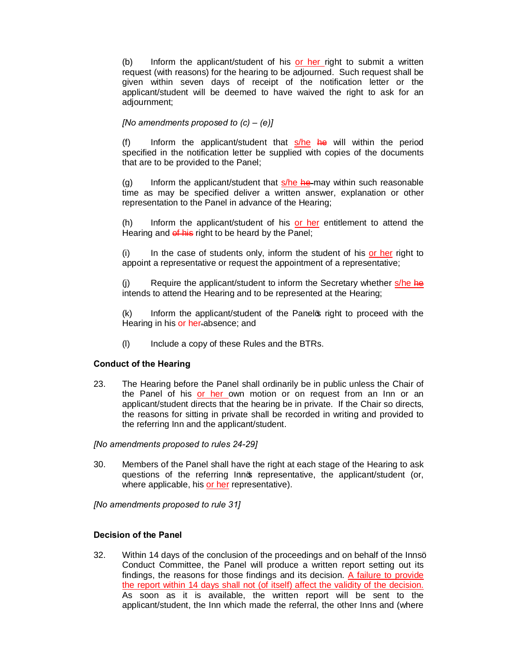(b) Inform the applicant/student of his or her right to submit a written request (with reasons) for the hearing to be adjourned. Such request shall be given within seven days of receipt of the notification letter or the applicant/student will be deemed to have waived the right to ask for an adjournment;

#### *[No amendments proposed to (c) – (e)]*

(f) Inform the applicant/student that  $s/he$  he will within the period specified in the notification letter be supplied with copies of the documents that are to be provided to the Panel;

(g) Inform the applicant/student that  $s/he$  he may within such reasonable time as may be specified deliver a written answer, explanation or other representation to the Panel in advance of the Hearing;

(h) Inform the applicant/student of his or her entitlement to attend the Hearing and of his right to be heard by the Panel;

(i) In the case of students only, inform the student of his or her right to appoint a representative or request the appointment of a representative;

Require the applicant/student to inform the Secretary whether s/he he intends to attend the Hearing and to be represented at the Hearing;

 $(k)$  Inform the applicant/student of the Panel  $\alpha$  right to proceed with the Hearing in his or her-absence; and

(l) Include a copy of these Rules and the BTRs.

#### **Conduct of the Hearing**

23. The Hearing before the Panel shall ordinarily be in public unless the Chair of the Panel of his or her own motion or on request from an Inn or an applicant/student directs that the hearing be in private. If the Chair so directs, the reasons for sitting in private shall be recorded in writing and provided to the referring Inn and the applicant/student.

*[No amendments proposed to rules 24-29]*

30. Members of the Panel shall have the right at each stage of the Hearing to ask questions of the referring Innos representative, the applicant/student (or, where applicable, his or her representative).

*[No amendments proposed to rule 31]*

#### **Decision of the Panel**

32. Within 14 days of the conclusion of the proceedings and on behalf of the Innsg Conduct Committee, the Panel will produce a written report setting out its findings, the reasons for those findings and its decision. A failure to provide the report within 14 days shall not (of itself) affect the validity of the decision. As soon as it is available, the written report will be sent to the applicant/student, the Inn which made the referral, the other Inns and (where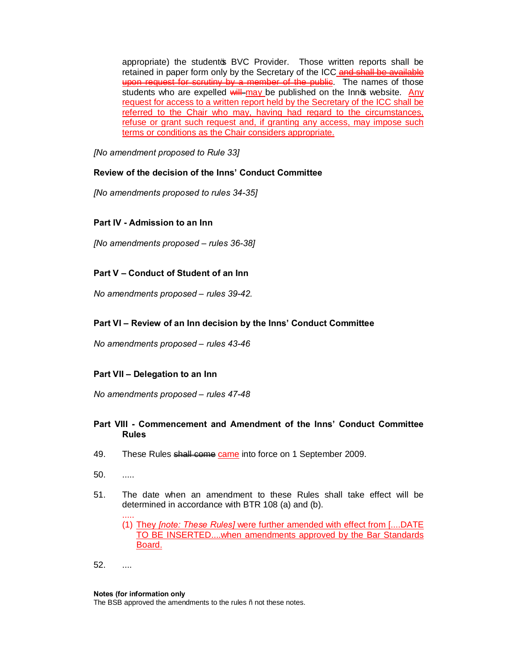appropriate) the studento BVC Provider. Those written reports shall be retained in paper form only by the Secretary of the ICC and shall be available upon request for scrutiny by a member of the public. The names of those students who are expelled  $\frac{1}{w}$  may be published on the Innot website. Any request for access to a written report held by the Secretary of the ICC shall be referred to the Chair who may, having had regard to the circumstances, refuse or grant such request and, if granting any access, may impose such terms or conditions as the Chair considers appropriate.

*[No amendment proposed to Rule 33]*

#### **Review of the decision of the Inns' Conduct Committee**

*[No amendments proposed to rules 34-35]*

#### **Part IV - Admission to an Inn**

*[No amendments proposed – rules 36-38]*

#### **Part V – Conduct of Student of an Inn**

*No amendments proposed – rules 39-42.*

#### **Part VI – Review of an Inn decision by the Inns' Conduct Committee**

*No amendments proposed – rules 43-46*

#### **Part VII – Delegation to an Inn**

*No amendments proposed – rules 47-48*

#### **Part VIII - Commencement and Amendment of the Inns' Conduct Committee Rules**

- 49. These Rules shall come came into force on 1 September 2009.
- 50. .....

.....

51. The date when an amendment to these Rules shall take effect will be determined in accordance with BTR 108 (a) and (b).

(1) They *[note: These Rules]* were further amended with effect from [....DATE TO BE INSERTED....when amendments approved by the Bar Standards Board.

#### **Notes (for information only**

The BSB approved the amendments to the rules . not these notes.

<sup>52.</sup> ....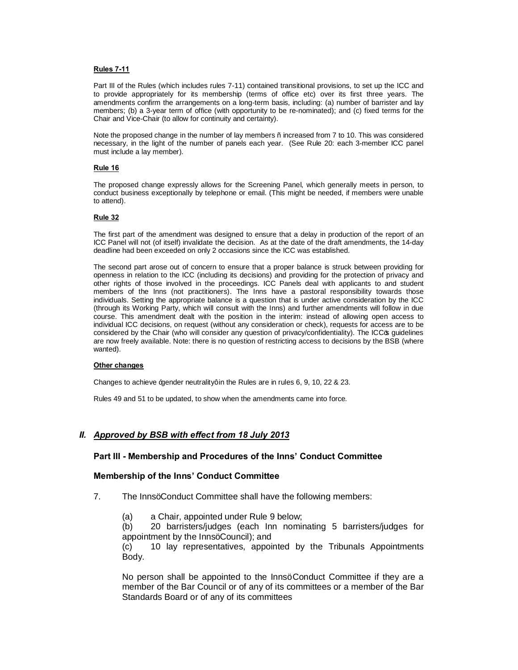#### **Rules 7-11**

Part III of the Rules (which includes rules 7-11) contained transitional provisions, to set up the ICC and to provide appropriately for its membership (terms of office etc) over its first three years. The amendments confirm the arrangements on a long-term basis, including: (a) number of barrister and lay members; (b) a 3-year term of office (with opportunity to be re-nominated); and (c) fixed terms for the Chair and Vice-Chair (to allow for continuity and certainty).

Note the proposed change in the number of lay members – increased from 7 to 10. This was considered necessary, in the light of the number of panels each year. (See Rule 20: each 3-member ICC panel must include a lay member).

#### **Rule 16**

The proposed change expressly allows for the Screening Panel, which generally meets in person, to conduct business exceptionally by telephone or email. (This might be needed, if members were unable to attend).

#### **Rule 32**

The first part of the amendment was designed to ensure that a delay in production of the report of an ICC Panel will not (of itself) invalidate the decision. As at the date of the draft amendments, the 14-day deadline had been exceeded on only 2 occasions since the ICC was established.

The second part arose out of concern to ensure that a proper balance is struck between providing for openness in relation to the ICC (including its decisions) and providing for the protection of privacy and other rights of those involved in the proceedings. ICC Panels deal with applicants to and student members of the Inns (not practitioners). The Inns have a pastoral responsibility towards those individuals. Setting the appropriate balance is a question that is under active consideration by the ICC (through its Working Party, which will consult with the Inns) and further amendments will follow in due course. This amendment dealt with the position in the interim: instead of allowing open access to individual ICC decisions, on request (without any consideration or check), requests for access are to be considered by the Chair (who will consider any question of privacy/confidentiality). The ICC $\sigma$  guidelines are now freely available. Note: there is no question of restricting access to decisions by the BSB (where wanted).

#### **Other changes**

Changes to achieve % ander neutrality+in the Rules are in rules 6, 9, 10, 22 & 23.

Rules 49 and 51 to be updated, to show when the amendments came into force.

#### *II. Approved by BSB with effect from 18 July 2013*

#### **Part III - Membership and Procedures of the Inns' Conduct Committee**

#### **Membership of the Inns' Conduct Committee**

- 7. The InnsqConduct Committee shall have the following members:
	- (a) a Chair, appointed under Rule 9 below;

(b) 20 barristers/judges (each Inn nominating 5 barristers/judges for appointment by the InnsqCouncil); and

(c) 10 lay representatives, appointed by the Tribunals Appointments Body.

No person shall be appointed to the InnsqConduct Committee if they are a member of the Bar Council or of any of its committees or a member of the Bar Standards Board or of any of its committees